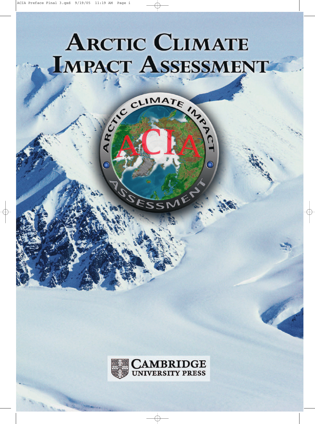**R** 

# **ARCTIC CLIMATE** IMPACT ASSESSMENT

CLIMATE 120

Ċ.

SESS

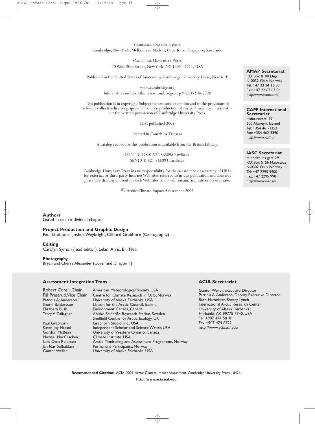CAMBRIDGE UNIVERSITY PRESS Cambridge, New York, Melbourne, Madrid, Cape Town, Singapore, Sao Paulo

> CAMBRIDGE UNIVERSITY PRESS 40 West 20th Street, New York, NY 10011-4211, USA

Published in the United States of America by Cambridge University Press, New York

www.cambridge.org Information on this title: www.cambridge.org/9780521865098

This publication is in copyright. Subject to statutory exception and to the provisions of relevant collective licensing agreements, no reproduction of any part may take place without the written permission of Cambridge University Press.

First published 2005

Printed in Canada by Friesens

A catalog record for this publication is available from the British Library.

ISBN 13 978-0-521-865098 hardback SBN10 0-521-865093 hardback

Cambridge University Press has no responsibility for the persistence or accuracy of URLs for external or third-party Internet Web sites referred to in this publication and does not guarantee that any content on such Web sites is, or will remain, accurate or appropriate.

© Arctic Climate Impact Assessment 2005

**Authors** Listed in each individual chapter

**Project Production and Graphic Design**  Paul Grabhorn, Joshua Weybright, Clifford Grabhorn (Cartography)

#### **Editing**

Carolyn Symon (lead editor), Lelani Arris, Bill Heal

**Photography** Bryan and Cherry Alexander (Cover and Chapter 1)

#### **Assessment Integration Team**

Robert Corell, Chair American Meteorological Society, USA

Pål Prestrud, Vice Chair Centre for Climate Research in Oslo, Norway<br>Patricia A. Anderson Chiversity of Alaska Fairbanks, USA University of Alaska Fairbanks, USA Snorri Baldursson Liaison for the Arctic Council, Iceland<br>
Elizabeth Bush Environment Canada, Canada Elizabeth Bush **Environment Canada, Canada**<br>Terry V. Callaghan Abisko Scientific Research Sta Abisko Scientific Research Station, Sweden Sheffield Centre for Arctic Ecology, UK Paul Grabhorn Grabhorn Studio, Inc., USA Susan Joy Hassol Independent Scholar and Science Writer, USA<br>Gordon McBean University of Western Ontario, Canada University of Western Ontario, Canada Michael MacCracken Climate Institute, USA Lars-Otto Reiersen Arctic Monitoring and Assessment Programme, Norway Jan Idar Solbakken Permanent Participants, Norway University of Alaska Fairbanks, USA

## **ACIA Secretariat**

Gunter Weller, Executive Director Patricia A.Anderson, Deputy Executive Director Barb Hameister, Sherry Lynch International Arctic Research Center University of Alaska Fairbanks Fairbanks,AK 99775-7740, USA Tel: +907 474 5818 Fax +907 474 6722 http://www.acia.uaf.edu

**AMAP Secretariat** P.O. Box 8100 Dep.

N-0032 Oslo, Norway Tel: +47 23 24 16 30 Fax: +47 22 67 67 06 http://www.amap.no

**CAFF International Secretariat** Hafnarstraeti 97 600 Akureyri, Iceland Tel: +354 461-3352 Fax: +354 462-3390 http://www.caff.is

**IASC Secretariat** Middelthuns gate 29 P.O. Box 5156 Majorstua N-0302 Oslo, Norway Tel: +47 2295 9900 Fax: +47 2295 9901 http://www.iasc.no

**Recommended Citation:** ACIA, 2005.Arctic Climate Impact Assessment. Cambridge University Press, 1042p.

**http://www.acia.uaf.edu**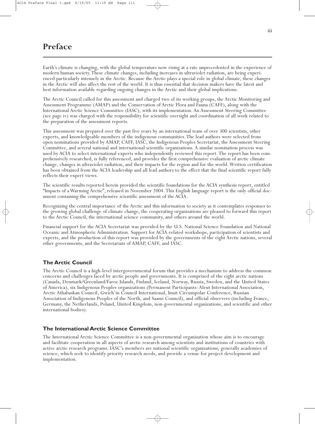# **Preface**

Earth's climate is changing, with the global temperature now rising at a rate unprecedented in the experience of modern human society.These climate changes, including increases in ultraviolet radiation, are being experienced particularly intensely in the Arctic. Because the Arctic plays a special role in global climate, these changes in the Arctic will also affect the rest of the world. It is thus essential that decision makers have the latest and best information available regarding ongoing changes in the Arctic and their global implications.

The Arctic Council called for this assessment and charged two of its working groups, the Arctic Monitoring and Assessment Programme (AMAP) and the Conservation of Arctic Flora and Fauna (CAFF), along with the International Arctic Science Committee (IASC), with its implementation. An Assessment Steering Committee (see page iv) was charged with the responsibility for scientific oversight and coordination of all work related to the preparation of the assessment reports.

This assessment was prepared over the past five years by an international team of over 300 scientists, other experts, and knowledgeable members of the indigenous communities.The lead authors were selected from open nominations provided by AMAP, CAFF, IASC, the Indigenous Peoples Secretariat, the Assessment Steering Committee, and several national and international scientific organizations. A similar nomination process was used by ACIA to select international experts who independently reviewed this report.The report has been comprehensively researched, is fully referenced, and provides the first comprehensive evaluation of arctic climate change, changes in ultraviolet radiation, and their impacts for the region and for the world.Written certification has been obtained from the ACIA leadership and all lead authors to the effect that the final scientific report fully reflects their expert views.

The scientific results reported herein provided the scientific foundations for the ACIA synthesis report, entitled "Impacts of a Warming Arctic", released in November 2004.This English language report is the only official document containing the comprehensive scientific assessment of the ACIA.

Recognizing the central importance of the Arctic and this information to society as it contemplates responses to the growing global challenge of climate change, the cooperating organizations are pleased to forward this report to the Arctic Council, the international science community, and others around the world.

Financial support for the ACIA Secretariat was provided by the U.S. National Science Foundation and National Oceanic and Atmospheric Administration. Support for ACIA-related workshops, participation of scientists and experts, and the production of this report was provided by the governments of the eight Arctic nations, several other governments, and the Secretariats of AMAP, CAFF, and IASC.

# **The Arctic Council**

The Arctic Council is a high-level intergovernmental forum that provides a mechanism to address the common concerns and challenges faced by arctic people and governments. It is comprised of the eight arctic nations (Canada, Denmark/Greenland/Faroe Islands, Finland, Iceland, Norway, Russia, Sweden, and the United States of America), six Indigenous Peoples organizations (Permanent Participants: Aleut International Association, Arctic Athabaskan Council, Gwich'in Council International, Inuit Circumpolar Conference, Russian Association of Indigenous Peoples of the North, and Saami Council), and official observers (including France, Germany, the Netherlands, Poland, United Kingdom, non-governmental organizations, and scientific and other international bodies).

## **The International Arctic Science Committee**

The International Arctic Science Committee is a non-governmental organization whose aim is to encourage and facilitate cooperation in all aspects of arctic research among scientists and institutions of countries with active arctic research programs. IASC's members are national scientific organizations, generally academies of science, which seek to identify priority research needs, and provide a venue for project development and implementation.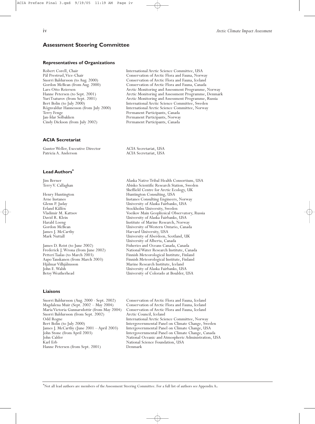# **Assessment Steering Committee**

#### **Representatives of Organizations**

Robert Corell, Chair International Arctic Science Committee, USA Rögnvaldur Hannesson (from July 2000)<br>Terry Fenge Terry Fenge Permanent Participants, Canada<br>Jan-Idar Solbakken Permanent Participants, Norway Cindy Dickson (from July 2002)

Pål Prestrud,Vice-Chair Conservation of Arctic Flora and Fauna, Norway Snorri Baldursson (to Aug. 2000) Conservation of Arctic Flora and Fauna, Iceland<br>Gordon McBean (from Aug. 2000) Conservation of Arctic Flora and Fauna, Canada Gordon McBean (from Aug. 2000) Conservation of Arctic Flora and Fauna, Canada Arctic Monitoring and Assessment Programme, Norway Hanne Petersen (to Sept. 2001) Arctic Monitoring and Assessment Programme, Denmark Yuri Tsaturov (from Sept. 2001) Arctic Monitoring and Assessment Programme, Russia International Arctic Science Committee, Sweden<br>International Arctic Science Committee, Norway Permanent Participants, Norway<br>Permanent Participants, Canada

#### **ACIA Secretariat**

Gunter Weller, Executive Director ACIA Secretariat, USA

#### Lead Authors<sup>\*</sup>

Hjálmar Vilhjálmsson Marine Research Institute, Iceland John E. Walsh Marine Research Institute, Iceland John E. Walsh John E.Walsh University of Alaska Fairbanks, USA

## **Liaisons**

Snorri Baldursson (from Sept. 2002)<br>Odd Rogne Hanne Petersen (from Sept. 2001) Denmark

Jim Berner Alaska Native Tribal Health Consortium, USA Abisko Scientific Research Station, Sweden Sheffield Centre for Arctic Ecology, UK Henry Huntington Huntington Consulting, USA Arne Instanes Consulting, USA Arne Instances Arne Instanes Instanes Consulting Engineers, Norway Glenn P. Juday University of Alaska Fairbanks, USA Erland Källén Stockholm University, Sweden Vladimir M. Kattsov Voeikov Main Geophysical Observatory, Russia David R. Klein University of Alaska Fairbanks, USA Harald Loeng Institute of Marine Research, Norway Gordon McBean University of Western Ontario, Canada James J. McCarthy Harvard University, USA University of Aberdeen, Scotland, UK University of Alberta, Canada James D. Reist (to June 2002) Fisheries and Oceans Canada, Canada Frederick J.Wrona (from June 2002) National Water Research Institute, Canada Petteri Taalas (to March 2003) Finnish Meteorological Institute, Finland Aapo Tanskanen (from March 2003) Finnish Meteorological Institute, Finland University of Colorado at Boulder, USA

ACIA Secretariat, USA

Snorri Baldursson (Aug. 2000 - Sept. 2002) Conservation of Arctic Flora and Fauna, Iceland Magdalena Muir (Sept. 2002 – May 2004) Conservation of Arctic Flora and Fauna, Iceland Conservation of Arctic Flora and Fauna, Iceland<br>Arctic Council, Iceland Odd Rogne International Arctic Science Committee, Norway<br>Bert Bolin (to July 2000) Intergovernmental Panel on Climate Change, Swe Bert Bolin (to July 2000) Intergovernmental Panel on Climate Change, Sweden<br>James J. McCarthy (June 2001 – April 2003) Intergovernmental Panel on Climate Change, USA James J. McCarthy (June 2001 – April 2003) Intergovernmental Panel on Climate Change, USA John Stone (from April 2003) Intergovernmental Panel on Climate Change, Canada John Calder National Oceanic and Atmospheric Administration, USA National Science Foundation, USA

\*Not all lead authors are members of the Assessment Steering Committee. For a full list of authors see Appendix A.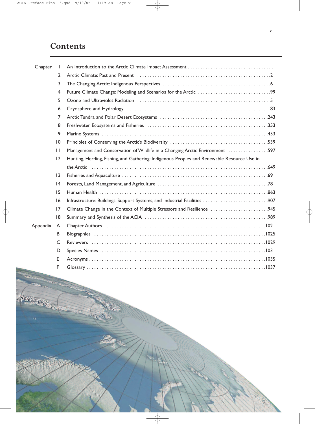# **Contents**

| Chapter  | Ι.             |                                                                                            |  |
|----------|----------------|--------------------------------------------------------------------------------------------|--|
|          | $\overline{2}$ |                                                                                            |  |
|          | 3              |                                                                                            |  |
|          | 4              |                                                                                            |  |
|          | 5              |                                                                                            |  |
|          | 6              |                                                                                            |  |
|          | 7              |                                                                                            |  |
|          | 8              |                                                                                            |  |
|          | 9              |                                                                                            |  |
|          | 10             |                                                                                            |  |
|          | $\mathbf{H}$   | Management and Conservation of Wildlife in a Changing Arctic Environment 597               |  |
|          | 12             | Hunting, Herding, Fishing, and Gathering: Indigenous Peoples and Renewable Resource Use in |  |
|          |                |                                                                                            |  |
|          | $ 3\rangle$    |                                                                                            |  |
|          | 4              |                                                                                            |  |
|          | 15             |                                                                                            |  |
|          | 16             | Infrastructure: Buildings, Support Systems, and Industrial Facilities 907                  |  |
|          | 17             | Climate Change in the Context of Multiple Stressors and Resilience 945                     |  |
|          | 18             |                                                                                            |  |
| Appendix | A              |                                                                                            |  |
|          | B              |                                                                                            |  |
|          | C              |                                                                                            |  |
|          | D              |                                                                                            |  |
|          | E              |                                                                                            |  |
|          | F              |                                                                                            |  |